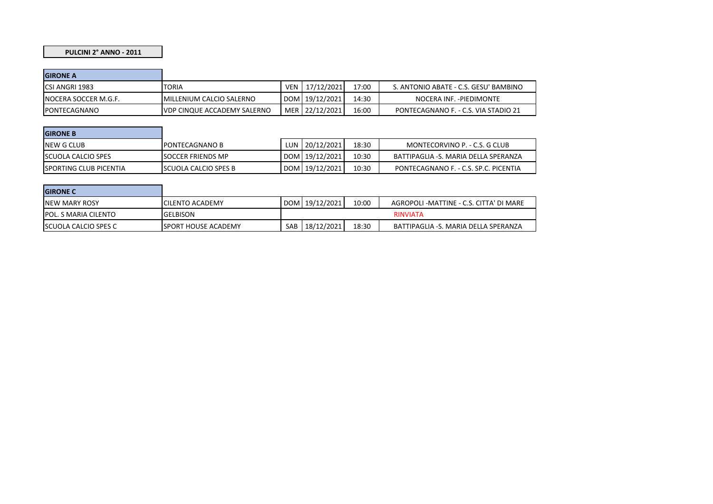## **PULCINI 2° ANNO - 2011**

۰.

÷

| <b>GIRONE A</b>       |                                     |            |                |       |                                       |
|-----------------------|-------------------------------------|------------|----------------|-------|---------------------------------------|
| ICSI ANGRI 1983       | <b>TORIA</b>                        | <b>VEN</b> | 17/12/2021     | 17:00 | S. ANTONIO ABATE - C.S. GESU' BAMBINO |
| INOCERA SOCCER M.G.F. | <b>IMILLENIUM CALCIO SALERNO</b>    |            | DOM 19/12/2021 | 14:30 | NOCERA INF. - PIEDIMONTE              |
| PONTECAGNANO          | <b>IVDP CINQUE ACCADEMY SALERNO</b> |            | MER 22/12/2021 | 16:00 | PONTECAGNANO F. - C.S. VIA STADIO 21  |

| <b>GIRONE B</b>                |                              |                |       |                                       |
|--------------------------------|------------------------------|----------------|-------|---------------------------------------|
| NEW G CLUB                     | <b>IPONTECAGNANO B</b>       | LUN 20/12/2021 | 18:30 | MONTECORVINO P. - C.S. G CLUB         |
| <b>SCUOLA CALCIO SPES</b>      | <b>ISOCCER FRIENDS MP</b>    | DOM 19/12/2021 | 10:30 | BATTIPAGLIA -S. MARIA DELLA SPERANZA  |
| <b>ISPORTING CLUB PICENTIA</b> | <b>ISCUOLA CALCIO SPES B</b> | DOM 19/12/2021 | 10:30 | PONTECAGNANO F. - C.S. SP.C. PICENTIA |

| <b>GIRONE C</b>              |                             |                 |                |       |                                         |  |
|------------------------------|-----------------------------|-----------------|----------------|-------|-----------------------------------------|--|
| <b>INEW MARY ROSY</b>        | <b>ICILENTO ACADEMY</b>     |                 | DOM 19/12/2021 | 10:00 | AGROPOLI -MATTINE - C.S. CITTA' DI MARE |  |
| <b>IPOL. S MARIA CILENTO</b> | <b>GELBISON</b>             | <b>RINVIATA</b> |                |       |                                         |  |
| <b>SCUOLA CALCIO SPES C</b>  | <b>ISPORT HOUSE ACADEMY</b> | SAB             | 18/12/2021     | 18:30 | BATTIPAGLIA -S. MARIA DELLA SPERANZA    |  |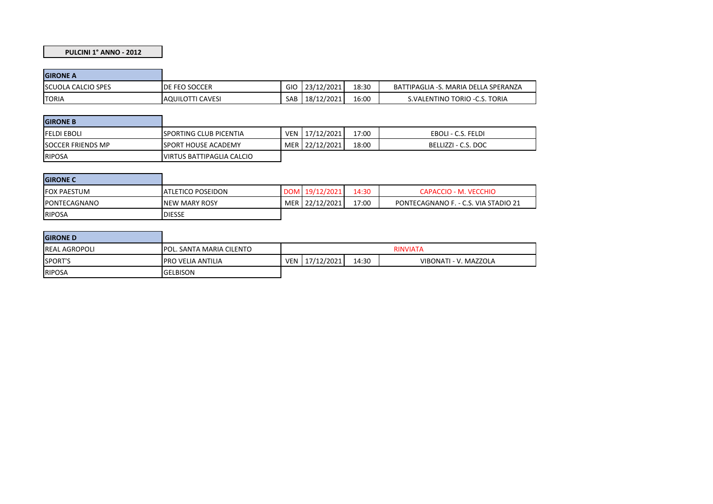## **PULCINI 1° ANNO - 2012**

| <b>GIRONE A</b>           |                         |     |            |       |                                      |
|---------------------------|-------------------------|-----|------------|-------|--------------------------------------|
| <b>SCUOLA CALCIO SPES</b> | <b>IDE FEO SOCCER</b>   | GIO | 23/12/2021 | 18:30 | BATTIPAGLIA -S. MARIA DELLA SPERANZA |
| <b>TORIA</b>              | <b>AQUILOTTI CAVESI</b> | SAB | 18/12/2021 | 16:00 | S.VALENTINO TORIO - C.S. TORIA       |

| <b>GIRONE B</b>          |                                  |                |       |                     |
|--------------------------|----------------------------------|----------------|-------|---------------------|
| <b>IFELDI EBOLI</b>      | <b>ISPORTING CLUB PICENTIA</b>   | VEN 17/12/2021 | 17:00 | EBOLI - C.S. FELDI  |
| <b>SOCCER FRIENDS MP</b> | <b>ISPORT HOUSE ACADEMY</b>      | MER 22/12/2021 | 18:00 | BELLIZZI - C.S. DOC |
| <b>RIPOSA</b>            | <b>VIRTUS BATTIPAGLIA CALCIO</b> |                |       |                     |

| <b>GIRONE C</b>    |                           |                |       |                                      |
|--------------------|---------------------------|----------------|-------|--------------------------------------|
| <b>FOX PAESTUM</b> | <b>JATLETICO POSEIDON</b> | DOM 19/12/2021 | 14:30 | CAPACCIO - M. VECCHIO                |
| PONTECAGNANO       | <b>INEW MARY ROSY</b>     | MER 22/12/2021 | 17:00 | PONTECAGNANO F. - C.S. VIA STADIO 21 |
| <b>RIPOSA</b>      | <b>DIESSE</b>             |                |       |                                      |

| <b>GIRONE D</b>      |                                  |                 |            |       |                       |  |
|----------------------|----------------------------------|-----------------|------------|-------|-----------------------|--|
| <b>REAL AGROPOLI</b> | <b>IPOL. SANTA MARIA CILENTO</b> | <b>RINVIATA</b> |            |       |                       |  |
| SPORT'S              | <b>IPRO VELIA ANTILIA</b>        | <b>VEN</b>      | 17/12/2021 | 14:30 | VIBONATI - V. MAZZOLA |  |
| <b>RIPOSA</b>        | <b>GELBISON</b>                  |                 |            |       |                       |  |